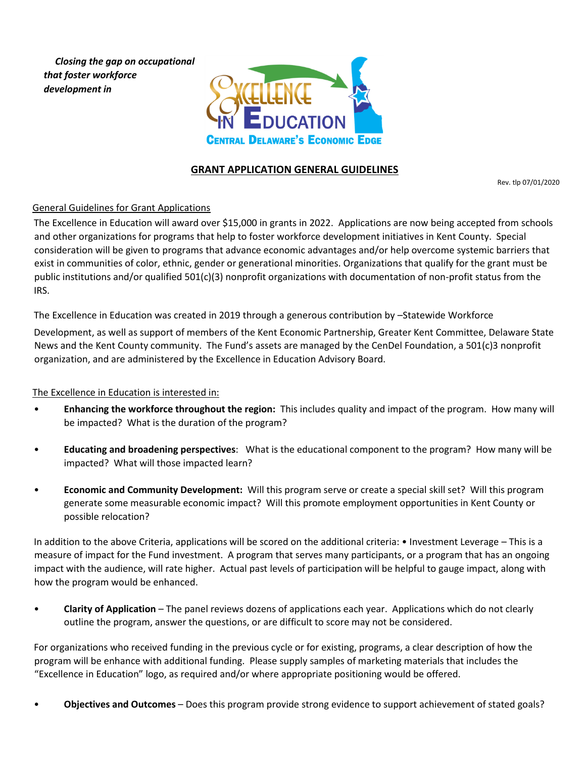*Closing the gap on occupational that foster workforce development in* 



### **GRANT APPLICATION GENERAL GUIDELINES**

Rev. tlp 07/01/2020

#### General Guidelines for Grant Applications

The Excellence in Education will award over \$15,000 in grants in 2022. Applications are now being accepted from schools and other organizations for programs that help to foster workforce development initiatives in Kent County. Special consideration will be given to programs that advance economic advantages and/or help overcome systemic barriers that exist in communities of color, ethnic, gender or generational minorities. Organizations that qualify for the grant must be public institutions and/or qualified 501(c)(3) nonprofit organizations with documentation of non-profit status from the IRS.

The Excellence in Education was created in 2019 through a generous contribution by –Statewide Workforce

Development, as well as support of members of the Kent Economic Partnership, Greater Kent Committee, Delaware State News and the Kent County community. The Fund's assets are managed by the CenDel Foundation, a 501(c)3 nonprofit organization, and are administered by the Excellence in Education Advisory Board.

### The Excellence in Education is interested in:

- **Enhancing the workforce throughout the region:** This includes quality and impact of the program. How many will be impacted? What is the duration of the program?
- **Educating and broadening perspectives**: What is the educational component to the program? How many will be impacted? What will those impacted learn?
- **Economic and Community Development:** Will this program serve or create a special skill set? Will this program generate some measurable economic impact? Will this promote employment opportunities in Kent County or possible relocation?

In addition to the above Criteria, applications will be scored on the additional criteria: • Investment Leverage – This is a measure of impact for the Fund investment. A program that serves many participants, or a program that has an ongoing impact with the audience, will rate higher. Actual past levels of participation will be helpful to gauge impact, along with how the program would be enhanced.

• **Clarity of Application** – The panel reviews dozens of applications each year. Applications which do not clearly outline the program, answer the questions, or are difficult to score may not be considered.

For organizations who received funding in the previous cycle or for existing, programs, a clear description of how the program will be enhance with additional funding. Please supply samples of marketing materials that includes the "Excellence in Education" logo, as required and/or where appropriate positioning would be offered.

• **Objectives and Outcomes** – Does this program provide strong evidence to support achievement of stated goals?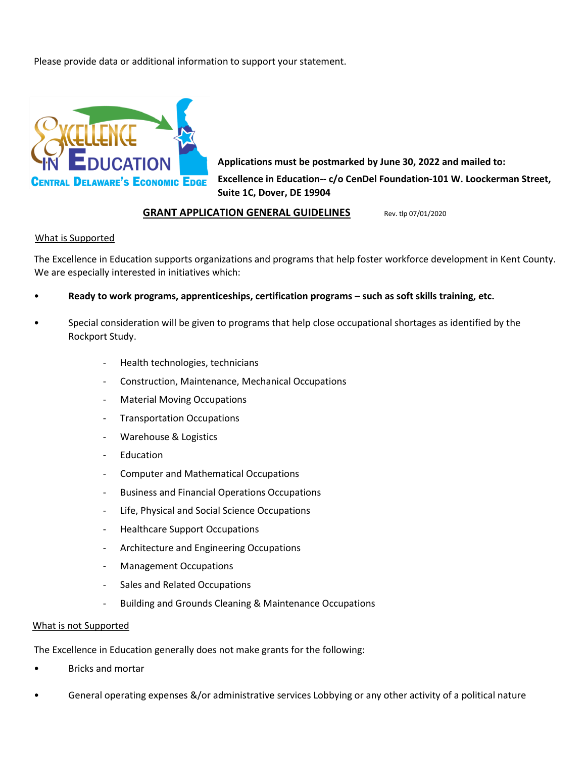Please provide data or additional information to support your statement.



**Applications must be postmarked by June 30, 2022 and mailed to: Excellence in Education-- c/o CenDel Foundation-101 W. Loockerman Street, Suite 1C, Dover, DE 19904** 

#### **GRANT APPLICATION GENERAL GUIDELINES** Rev. tlp 07/01/2020

#### What is Supported

The Excellence in Education supports organizations and programs that help foster workforce development in Kent County. We are especially interested in initiatives which:

- **Ready to work programs, apprenticeships, certification programs – such as soft skills training, etc.**
- Special consideration will be given to programs that help close occupational shortages as identified by the Rockport Study.
	- Health technologies, technicians
	- Construction, Maintenance, Mechanical Occupations
	- Material Moving Occupations
	- Transportation Occupations
	- Warehouse & Logistics
	- Education
	- Computer and Mathematical Occupations
	- Business and Financial Operations Occupations
	- Life, Physical and Social Science Occupations
	- Healthcare Support Occupations
	- Architecture and Engineering Occupations
	- Management Occupations
	- Sales and Related Occupations
	- Building and Grounds Cleaning & Maintenance Occupations

#### What is not Supported

The Excellence in Education generally does not make grants for the following:

- Bricks and mortar
- General operating expenses &/or administrative services Lobbying or any other activity of a political nature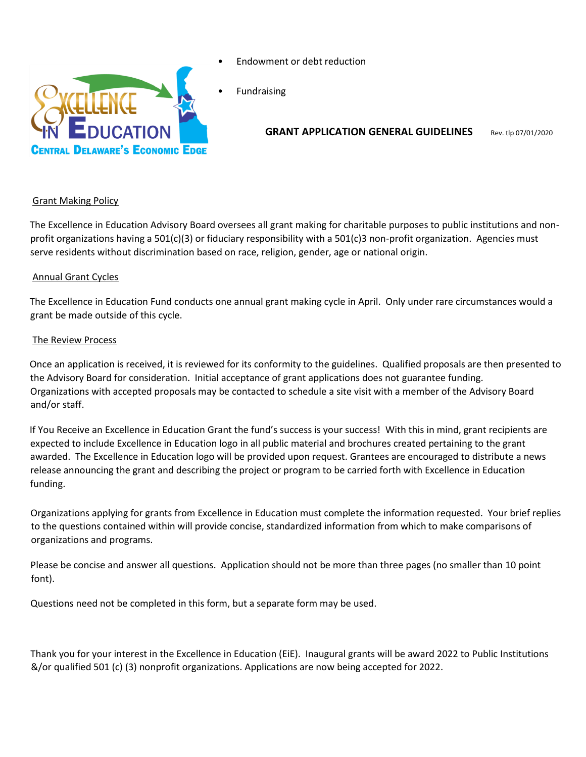

- Endowment or debt reduction
- **Fundraising**

### **GRANT APPLICATION GENERAL GUIDELINES** Rev. tlp 07/01/2020

#### Grant Making Policy

The Excellence in Education Advisory Board oversees all grant making for charitable purposes to public institutions and nonprofit organizations having a 501(c)(3) or fiduciary responsibility with a 501(c)3 non-profit organization. Agencies must serve residents without discrimination based on race, religion, gender, age or national origin.

#### Annual Grant Cycles

The Excellence in Education Fund conducts one annual grant making cycle in April. Only under rare circumstances would a grant be made outside of this cycle.

#### The Review Process

Once an application is received, it is reviewed for its conformity to the guidelines. Qualified proposals are then presented to the Advisory Board for consideration. Initial acceptance of grant applications does not guarantee funding. Organizations with accepted proposals may be contacted to schedule a site visit with a member of the Advisory Board and/or staff.

If You Receive an Excellence in Education Grant the fund's success is your success! With this in mind, grant recipients are expected to include Excellence in Education logo in all public material and brochures created pertaining to the grant awarded. The Excellence in Education logo will be provided upon request. Grantees are encouraged to distribute a news release announcing the grant and describing the project or program to be carried forth with Excellence in Education funding.

Organizations applying for grants from Excellence in Education must complete the information requested. Your brief replies to the questions contained within will provide concise, standardized information from which to make comparisons of organizations and programs.

Please be concise and answer all questions. Application should not be more than three pages (no smaller than 10 point font).

Questions need not be completed in this form, but a separate form may be used.

Thank you for your interest in the Excellence in Education (EiE). Inaugural grants will be award 2022 to Public Institutions &/or qualified 501 (c) (3) nonprofit organizations. Applications are now being accepted for 2022.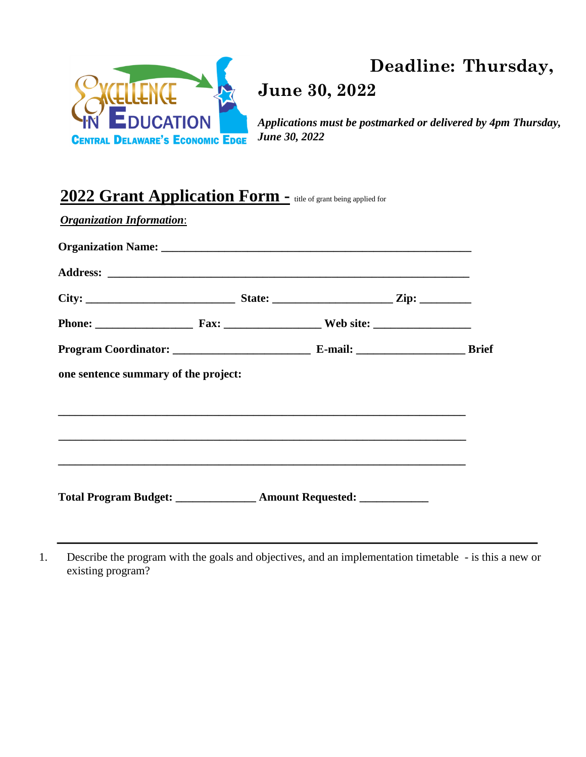

# **Deadline: Thursday, June 30, 2022**

*Applications must be postmarked or delivered by 4pm Thursday, June 30, 2022*

# **2022 Grant Application Form -** title of grant being applied for

*Organization Information*:

|                                                                                   |  | <b>Brief</b> |
|-----------------------------------------------------------------------------------|--|--------------|
| one sentence summary of the project:                                              |  |              |
|                                                                                   |  |              |
|                                                                                   |  |              |
|                                                                                   |  |              |
| ,我们也不能在这里的,我们也不能在这里的人,我们也不能在这里的人,我们也不能在这里的人,我们也不能在这里的人,我们也不能在这里的人,我们也不能在这里的人,我们也不 |  |              |
| Total Program Budget: _________________ Amount Requested: _____________           |  |              |

1. Describe the program with the goals and objectives, and an implementation timetable - is this a new or existing program?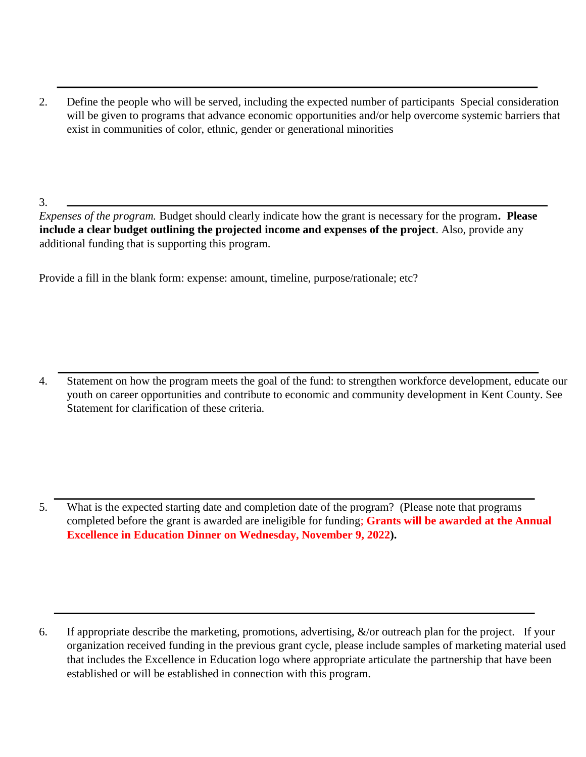2. Define the people who will be served, including the expected number of participants Special consideration will be given to programs that advance economic opportunities and/or help overcome systemic barriers that exist in communities of color, ethnic, gender or generational minorities

3.

*Expenses of the program.* Budget should clearly indicate how the grant is necessary for the program**. Please include a clear budget outlining the projected income and expenses of the project**. Also, provide any additional funding that is supporting this program.

Provide a fill in the blank form: expense: amount, timeline, purpose/rationale; etc?

4. Statement on how the program meets the goal of the fund: to strengthen workforce development, educate our youth on career opportunities and contribute to economic and community development in Kent County. See Statement for clarification of these criteria.

5. What is the expected starting date and completion date of the program? (Please note that programs completed before the grant is awarded are ineligible for funding; **Grants will be awarded at the Annual Excellence in Education Dinner on Wednesday, November 9, 2022).**

<sup>6.</sup> If appropriate describe the marketing, promotions, advertising,  $\&$ /or outreach plan for the project. If your organization received funding in the previous grant cycle, please include samples of marketing material used that includes the Excellence in Education logo where appropriate articulate the partnership that have been established or will be established in connection with this program.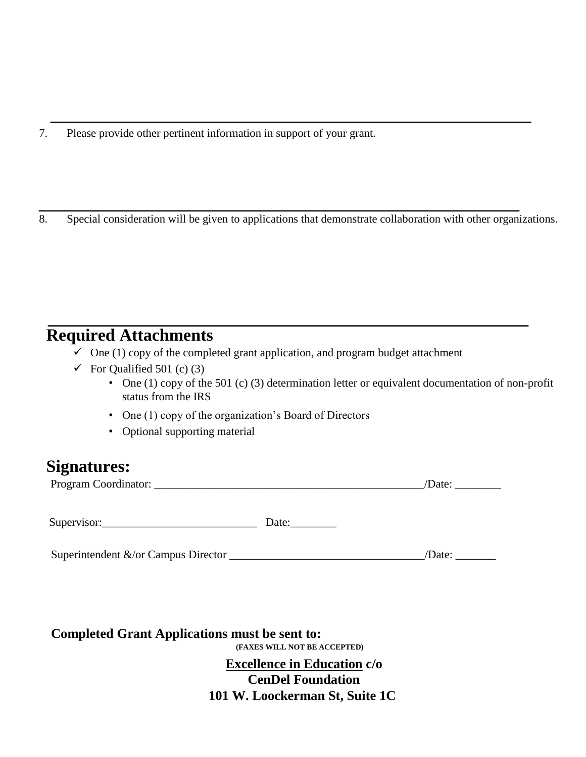7. Please provide other pertinent information in support of your grant.

8. Special consideration will be given to applications that demonstrate collaboration with other organizations.

## **Required Attachments**

- $\checkmark$  One (1) copy of the completed grant application, and program budget attachment
- $\checkmark$  For Qualified 501 (c) (3)
	- One (1) copy of the 501 (c) (3) determination letter or equivalent documentation of non-profit status from the IRS
	- One (1) copy of the organization's Board of Directors
	- Optional supporting material

# **Signatures:**

Program Coordinator: \_\_\_\_\_\_\_\_\_\_\_\_\_\_\_\_\_\_\_\_\_\_\_\_\_\_\_\_\_\_\_\_\_\_\_\_\_\_\_\_\_\_\_\_\_\_\_/Date: \_\_\_\_\_\_\_\_

Supervisor: Date:

Superintendent &/or Campus Director \_\_\_\_\_\_\_\_\_\_\_\_\_\_\_\_\_\_\_\_\_\_\_\_\_\_\_\_\_\_\_\_\_\_/Date: \_\_\_\_\_\_\_

**Completed Grant Applications must be sent to:**

**(FAXES WILL NOT BE ACCEPTED)** 

**Excellence in Education c/o CenDel Foundation 101 W. Loockerman St, Suite 1C**